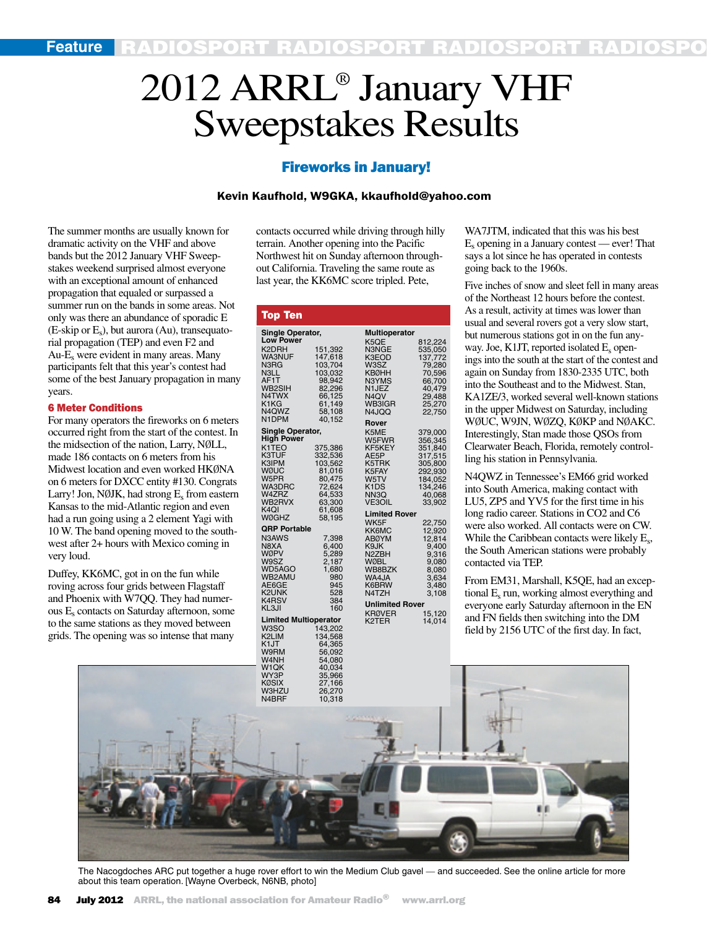# 2012 ARRL® January VHF Sweepstakes Results

## Fireworks in January!

#### Kevin Kaufhold, W9GKA, kkaufhold@yahoo.com

The summer months are usually known for dramatic activity on the VHF and above bands but the 2012 January VHF Sweepstakes weekend surprised almost everyone with an exceptional amount of enhanced propagation that equaled or surpassed a summer run on the bands in some areas. Not only was there an abundance of sporadic E  $(E\text{-skip or }E_s)$ , but aurora (Au), transequatorial propagation (TEP) and even F2 and Au-E<sub>s</sub> were evident in many areas. Many participants felt that this year's contest had some of the best January propagation in many years.

#### 6 Meter Conditions

For many operators the fireworks on 6 meters occurred right from the start of the contest. In the midsection of the nation, Larry, NØLL, made 186 contacts on 6 meters from his Midwest location and even worked HKØNA on 6 meters for DXCC entity #130. Congrats Larry! Jon, N $\emptyset$ JK, had strong  $E_s$  from eastern Kansas to the mid-Atlantic region and even had a run going using a 2 element Yagi with 10 W. The band opening moved to the southwest after 2+ hours with Mexico coming in very loud.

Duffey, KK6MC, got in on the fun while roving across four grids between Flagstaff and Phoenix with W7QQ. They had numerous Es contacts on Saturday afternoon, some to the same stations as they moved between grids. The opening was so intense that many

contacts occurred while driving through hilly terrain. Another opening into the Pacific Northwest hit on Sunday afternoon throughout California. Traveling the same route as last year, the KK6MC score tripled. Pete,

| <b>Top Ten</b>               |                  |                        |         |  |  |  |
|------------------------------|------------------|------------------------|---------|--|--|--|
| Single Operator,             |                  | <b>Multioperator</b>   |         |  |  |  |
| <b>Low Power</b>             |                  | K5QE                   | 812,224 |  |  |  |
| K <sub>2</sub> DRH           | 151,392          | N3NGE                  | 535,050 |  |  |  |
| <b>WA3NUF</b>                | 147,618          | K3EOD                  | 137,772 |  |  |  |
| N3RG                         | 103,704          | W3SZ                   | 79,280  |  |  |  |
| N3LL                         | 103,032          | <b>KBØHH</b>           | 70,596  |  |  |  |
| AF <sub>1</sub> T            | 98,942           | N3YMS                  | 66,700  |  |  |  |
| WB2SIH                       | 82,296           | N <sub>1</sub> JEZ     | 40,479  |  |  |  |
| N4TWX                        | 66,125           | N4QV                   | 29,488  |  |  |  |
| K1KG                         | 61,149           | WB3IGR                 | 25,270  |  |  |  |
| N <sub>4</sub> QWZ           | 58,108           | N4JQQ                  | 22,750  |  |  |  |
| N1DPM                        | 40.152           | Rover                  |         |  |  |  |
| <b>Single Operator,</b>      |                  | K5ME                   | 379,000 |  |  |  |
| <b>High Power</b>            |                  | W5FWR                  | 356,345 |  |  |  |
| K <sub>1</sub> TEO           | 375,386          | KF5KEY                 | 351,840 |  |  |  |
| K3TUF                        | 332,536          | AE5P                   | 317,515 |  |  |  |
| K3IPM                        | 103,562          | K5TRK                  | 305,800 |  |  |  |
| WØUC                         | 81,016           | K5FAY                  | 292,930 |  |  |  |
| W5PR                         | 80,475           | W5TV                   | 184,052 |  |  |  |
| <b>WA3DRC</b>                | 72,624           | K1DS                   | 134,246 |  |  |  |
| W4ZRZ                        | 64,533           | NN3Q                   | 40,068  |  |  |  |
| WB2RVX                       | 63,300           | <b>VE3OIL</b>          | 33,902  |  |  |  |
| K4QI                         | 61,608           | <b>Limited Rover</b>   |         |  |  |  |
| WØGHZ                        | 58,195           | WK5F                   | 22,750  |  |  |  |
| <b>QRP Portable</b>          |                  | KK6MC                  | 12,920  |  |  |  |
| N3AWS                        | 7,398            | AB0YM                  | 12,814  |  |  |  |
| N8XA                         | 6,400            | K9JK                   | 9,400   |  |  |  |
| WØPV                         | 5,289            | N2ZBH                  | 9,316   |  |  |  |
| W9SZ                         | 2,187            | WØBL                   | 9,080   |  |  |  |
| WD5AGO                       | 1,680            | WB8BZK                 | 8,080   |  |  |  |
| WB2AMU                       | 980              | WA4JA                  | 3,634   |  |  |  |
| AE6GE                        | 945              | K6BRW                  | 3.480   |  |  |  |
| K2UNK                        | 528              | N4TZH                  | 3,108   |  |  |  |
| K4RSV<br>KL3JI               | 384<br>160       | <b>Unlimited Rover</b> |         |  |  |  |
|                              |                  | <b>KRØVER</b>          | 15,120  |  |  |  |
| <b>Limited Multioperator</b> |                  | K <sub>2</sub> TER     | 14,014  |  |  |  |
| W3SO                         | 143,202          |                        |         |  |  |  |
| K2LIM                        | 134,568          |                        |         |  |  |  |
| K <sub>1</sub> JT            | 64,365           |                        |         |  |  |  |
| W9RM                         | 56,092           |                        |         |  |  |  |
| W4NH                         | 54,080           |                        |         |  |  |  |
| W <sub>1</sub> QK            | 40,034           |                        |         |  |  |  |
| WY3P<br>KØSIX                | 35,966<br>27 166 |                        |         |  |  |  |

WA7JTM, indicated that this was his best  $E<sub>s</sub>$  opening in a January contest — ever! That says a lot since he has operated in contests going back to the 1960s.

Five inches of snow and sleet fell in many areas of the Northeast 12 hours before the contest. As a result, activity at times was lower than usual and several rovers got a very slow start, but numerous stations got in on the fun anyway. Joe, K1JT, reported isolated E<sub>s</sub> openings into the south at the start of the contest and again on Sunday from 1830-2335 UTC, both into the Southeast and to the Midwest. Stan, KA1ZE/3, worked several well-known stations in the upper Midwest on Saturday, including WØUC, W9JN, WØZQ, KØKP and NØAKC. Interestingly, Stan made those QSOs from Clearwater Beach, Florida, remotely controlling his station in Pennsylvania.

N4QWZ in Tennessee's EM66 grid worked into South America, making contact with LU5, ZP5 and YV5 for the first time in his long radio career. Stations in CO2 and C6 were also worked. All contacts were on CW. While the Caribbean contacts were likely E<sub>s</sub>, the South American stations were probably contacted via TEP.

From EM31, Marshall, K5QE, had an exceptional Es run, working almost everything and everyone early Saturday afternoon in the EN and FN fields then switching into the DM field by 2156 UTC of the first day. In fact,



The Nacogdoches ARC put together a huge rover effort to win the Medium Club gavel — and succeeded. See the online article for more about this team operation. [Wayne Overbeck, N6NB, photo]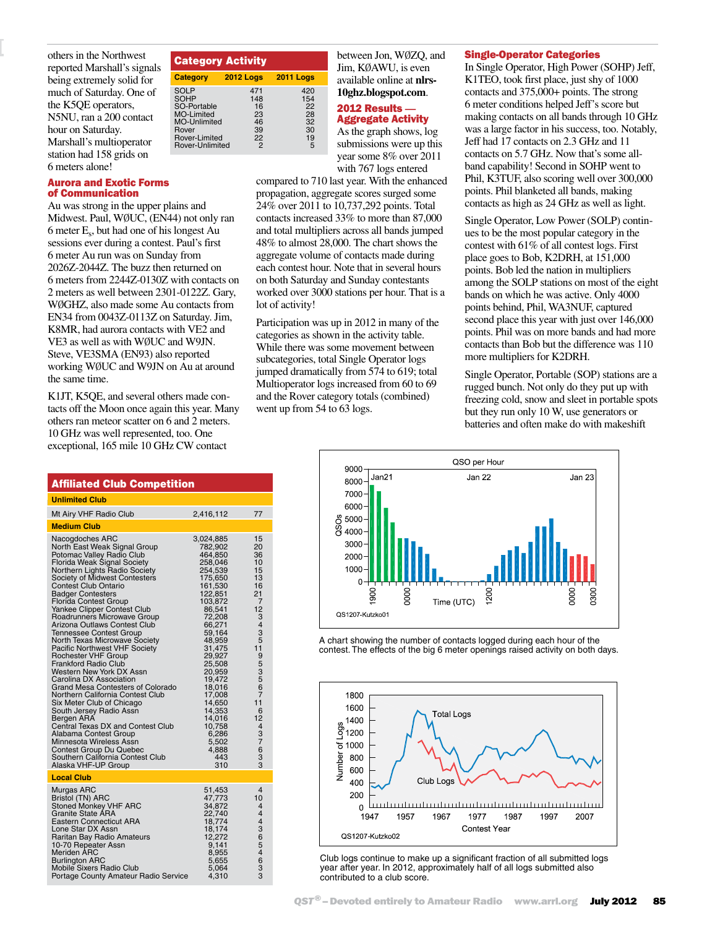others in the Northwest reported Marshall's signals being extremely solid for much of Saturday. One of the K5QE operators, N5NU, ran a 200 contact hour on Saturday. Marshall's multioperator station had 158 grids on 6 meters alone!

#### Aurora and Exotic Forms of Communication

Au was strong in the upper plains and Midwest. Paul, WØUC, (EN44) not only ran 6 meter Es, but had one of his longest Au sessions ever during a contest. Paul's first 6 meter Au run was on Sunday from 2026Z-2044Z. The buzz then returned on 6 meters from 2244Z-0130Z with contacts on 2 meters as well between 2301-0122Z. Gary, WØGHZ, also made some Au contacts from EN34 from 0043Z-0113Z on Saturday. Jim, K8MR, had aurora contacts with VE2 and VE3 as well as with WØUC and W9JN. Steve, VE3SMA (EN93) also reported working WØUC and W9JN on Au at around the same time.

Category Activity

SOHP<br>
SO-Portable 16<br>
MO-Limited 23

MO-Unlimited 46<br>
Rover 39<br>
Rover-Limited 22

Rover-Unlimited

**Category 2012 Logs 2011 Logs**

SOLP 471 420<br>
SO-Portable 148 154<br>
SO-Portable 16 22<br>
MO-Limited 23 28<br>
MO-Unlimited 46 32<br>
Rover-Limited 22 19

Rover 39 30 Rover-Limited 22 19

SO-Portable 16 22 MO-Limited 23 28

K1JT, K5QE, and several others made contacts off the Moon once again this year. Many others ran meteor scatter on 6 and 2 meters. 10 GHz was well represented, too. One exceptional, 165 mile 10 GHz CW contact

| <b>Affiliated Club Competition</b>                                                                                                                                                                                                                                                                                                                                                                                                                                                                                                                                                                                                                                                                                                                                                                                                                                                                                    |                                                                                                                                                                                                                                                                                                            |                                                                                                                                                                                                        |  |  |  |  |  |  |
|-----------------------------------------------------------------------------------------------------------------------------------------------------------------------------------------------------------------------------------------------------------------------------------------------------------------------------------------------------------------------------------------------------------------------------------------------------------------------------------------------------------------------------------------------------------------------------------------------------------------------------------------------------------------------------------------------------------------------------------------------------------------------------------------------------------------------------------------------------------------------------------------------------------------------|------------------------------------------------------------------------------------------------------------------------------------------------------------------------------------------------------------------------------------------------------------------------------------------------------------|--------------------------------------------------------------------------------------------------------------------------------------------------------------------------------------------------------|--|--|--|--|--|--|
| <b>Unlimited Club</b>                                                                                                                                                                                                                                                                                                                                                                                                                                                                                                                                                                                                                                                                                                                                                                                                                                                                                                 |                                                                                                                                                                                                                                                                                                            |                                                                                                                                                                                                        |  |  |  |  |  |  |
| Mt Airy VHF Radio Club                                                                                                                                                                                                                                                                                                                                                                                                                                                                                                                                                                                                                                                                                                                                                                                                                                                                                                | 2,416,112                                                                                                                                                                                                                                                                                                  | 77                                                                                                                                                                                                     |  |  |  |  |  |  |
| <b>Medium Club</b>                                                                                                                                                                                                                                                                                                                                                                                                                                                                                                                                                                                                                                                                                                                                                                                                                                                                                                    |                                                                                                                                                                                                                                                                                                            |                                                                                                                                                                                                        |  |  |  |  |  |  |
| Nacogdoches ARC<br>North East Weak Signal Group<br>Potomac Valley Radio Club<br>Florida Weak Signal Society<br>Northern Lights Radio Society<br>Society of Midwest Contesters<br><b>Contest Club Ontario</b><br><b>Badger Contesters</b><br><b>Florida Contest Group</b><br>Yankee Clipper Contest Club<br>Roadrunners Microwave Group<br>Arizona Outlaws Contest Club<br>Tennessee Contest Group<br>North Texas Microwave Society<br><b>Pacific Northwest VHF Society</b><br>Rochester VHF Group<br><b>Frankford Radio Club</b><br>Western New York DX Assn<br>Carolina DX Association<br>Grand Mesa Contesters of Colorado<br>Northern California Contest Club<br>Six Meter Club of Chicago<br>South Jersey Radio Assn<br>Bergen ARA<br>Central Texas DX and Contest Club<br>Alabama Contest Group<br>Minnesota Wireless Assn<br>Contest Group Du Quebec<br>Southern California Contest Club<br>Alaska VHF-UP Group | 3,024,885<br>782,902<br>464,850<br>258,046<br>254,539<br>175,650<br>161,530<br>122,851<br>103,872<br>86,541<br>72,208<br>66,271<br>59,164<br>48,959<br>31,475<br>29,927<br>25,508<br>20,959<br>19,472<br>18,016<br>17,008<br>14,650<br>14,353<br>14,016<br>10,758<br>6,286<br>5,502<br>4,888<br>443<br>310 | 15<br>20<br>36<br>10<br>15<br>13<br>16<br>21<br>7<br>12<br>3<br>$\overline{4}$<br>3<br>5<br>11<br>9<br>$\frac{5}{3}$<br>5<br>6<br>7<br>11<br>6<br>12<br>$\overline{4}$<br>$\frac{3}{7}$<br>6<br>3<br>3 |  |  |  |  |  |  |
| <b>Local Club</b>                                                                                                                                                                                                                                                                                                                                                                                                                                                                                                                                                                                                                                                                                                                                                                                                                                                                                                     |                                                                                                                                                                                                                                                                                                            |                                                                                                                                                                                                        |  |  |  |  |  |  |
| Murgas ARC<br>Bristol (TN) ARC<br>Stoned Monkey VHF ARC<br>Granite State ÁRA<br><b>Eastern Connecticut ARA</b><br>Lone Star DX Assn<br>Raritan Bay Radio Amateurs<br>10-70 Repeater Assn<br>Meriden ARC<br><b>Burlington ARC</b><br>Mobile Sixers Radio Club<br>Portage County Amateur Radio Service                                                                                                                                                                                                                                                                                                                                                                                                                                                                                                                                                                                                                  | 51,453<br>47,773<br>34,872<br>22,740<br>18,774<br>18,174<br>12,272<br>9,141<br>8,955<br>5,655<br>5,064<br>4,310                                                                                                                                                                                            | 4<br>10<br>4<br>$\overline{4}$<br>$\overline{4}$<br>3<br>6<br>5<br>$\overline{4}$<br>6<br>3<br>3                                                                                                       |  |  |  |  |  |  |

| between Jon, WØZO, and           |
|----------------------------------|
| Jim, KØAWU, is even              |
| available online at <b>nlrs-</b> |
| 10ghz.blogspot.com.              |

# <sup>2012</sup> Results **—** Aggregate Activity

As the graph shows, log submissions were up this year some 8% over 2011 with 767 logs entered

compared to 710 last year. With the enhanced propagation, aggregate scores surged some 24% over 2011 to 10,737,292 points. Total contacts increased 33% to more than 87,000 and total multipliers across all bands jumped 48% to almost 28,000. The chart shows the aggregate volume of contacts made during each contest hour. Note that in several hours on both Saturday and Sunday contestants worked over 3000 stations per hour. That is a lot of activity!

Participation was up in 2012 in many of the categories as shown in the activity table. While there was some movement between subcategories, total Single Operator logs jumped dramatically from 574 to 619; total Multioperator logs increased from 60 to 69 and the Rover category totals (combined) went up from 54 to 63 logs.

# others in the Northwest **Ratogory Activity Containst Single-Operator Categories**

In Single Operator, High Power (SOHP) Jeff, K1TEO, took first place, just shy of 1000 contacts and 375,000+ points. The strong 6 meter conditions helped Jeff's score but making contacts on all bands through 10 GHz was a large factor in his success, too. Notably, Jeff had 17 contacts on 2.3 GHz and 11 contacts on 5.7 GHz. Now that's some allband capability! Second in SOHP went to Phil, K3TUF, also scoring well over 300,000 points. Phil blanketed all bands, making contacts as high as 24 GHz as well as light.

Single Operator, Low Power (SOLP) continues to be the most popular category in the contest with 61% of all contest logs. First place goes to Bob, K2DRH, at 151,000 points. Bob led the nation in multipliers among the SOLP stations on most of the eight bands on which he was active. Only 4000 points behind, Phil, WA3NUF, captured second place this year with just over 146,000 points. Phil was on more bands and had more contacts than Bob but the difference was 110 more multipliers for K2DRH.

Single Operator, Portable (SOP) stations are a rugged bunch. Not only do they put up with freezing cold, snow and sleet in portable spots but they run only 10 W, use generators or batteries and often make do with makeshift



A chart showing the number of contacts logged during each hour of the contest. The effects of the big 6 meter openings raised activity on both days.



Club logs continue to make up a significant fraction of all submitted logs year after year. In 2012, approximately half of all logs submitted also contributed to a club score.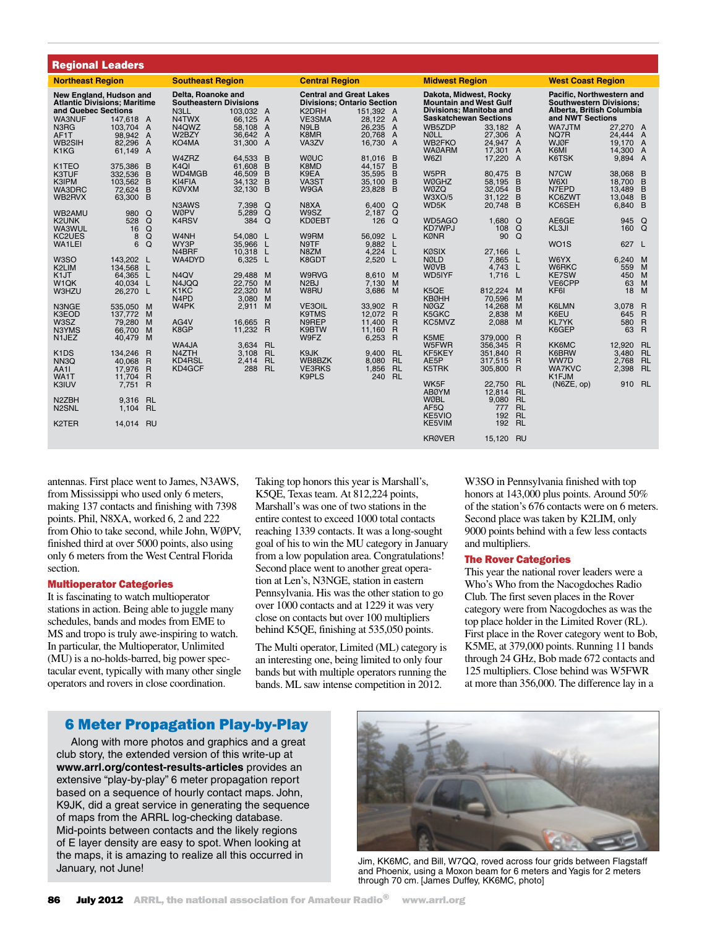| <b>Regional Leaders</b>                                                                                      |                                                     |                                                                                                               |                                                                                              |                                        |                                                                                              |                                                  |                                                                                                                           |                                                  |                                                                 |                                                                                                              |                                                                            |                                                         |                                                     |                                                                |
|--------------------------------------------------------------------------------------------------------------|-----------------------------------------------------|---------------------------------------------------------------------------------------------------------------|----------------------------------------------------------------------------------------------|----------------------------------------|----------------------------------------------------------------------------------------------|--------------------------------------------------|---------------------------------------------------------------------------------------------------------------------------|--------------------------------------------------|-----------------------------------------------------------------|--------------------------------------------------------------------------------------------------------------|----------------------------------------------------------------------------|---------------------------------------------------------|-----------------------------------------------------|----------------------------------------------------------------|
| <b>Northeast Region</b>                                                                                      |                                                     |                                                                                                               | <b>Southeast Region</b>                                                                      |                                        |                                                                                              | <b>Central Region</b>                            |                                                                                                                           |                                                  | <b>Midwest Region</b>                                           |                                                                                                              |                                                                            | <b>West Coast Region</b>                                |                                                     |                                                                |
| New England, Hudson and<br><b>Atlantic Divisions: Maritime</b><br>and Quebec Sections<br>WA3NUF<br>147.618 A |                                                     | Delta, Roanoke and<br><b>Southeastern Divisions</b><br>N3LL<br>103.032 A<br>N4TWX<br>66,125<br>$\overline{A}$ |                                                                                              | K2DRH<br>VE3SMA                        | <b>Central and Great Lakes</b><br><b>Divisions: Ontario Section</b><br>151.392 A<br>28,122 A |                                                  | Dakota, Midwest, Rocky<br><b>Mountain and West Gulf</b><br><b>Divisions: Manitoba and</b><br><b>Saskatchewan Sections</b> |                                                  |                                                                 | Pacific, Northwestern and<br><b>Southwestern Divisions:</b><br>Alberta, British Columbia<br>and NWT Sections |                                                                            |                                                         |                                                     |                                                                |
| N <sub>3</sub> R <sub>G</sub><br>AF1T<br>WB2SIH<br>K <sub>1</sub> K <sub>G</sub>                             | 103.704 A<br>98,942<br>82.296<br>61,149 A           | A<br>$\overline{A}$                                                                                           | N4QWZ<br>W2BZY<br>KO4MA<br>W4ZRZ                                                             | 58,108<br>36.642<br>31,300 A<br>64,533 | $\overline{A}$<br>$\overline{A}$<br>B                                                        | N9LB<br>K8MR<br>VA3ZV<br><b>WØUC</b>             | 26,235 A<br>20.768 A<br>16,730 A<br>81.016                                                                                | $\overline{B}$                                   | WB5ZDP<br><b>NØLL</b><br>WB2FKO<br><b>WAØARM</b><br>W6ZI        | 33.182 A<br>27,306 A<br>24.947 A<br>17.301 A<br>17,220 A                                                     |                                                                            | WA7JTM<br>NQ7R<br><b>WJØF</b><br>K6MI<br>K6TSK          | 27.270 A<br>24.444 A<br>19.170<br>14,300<br>9,894 A | A<br>A                                                         |
| K1TEO<br>K3TUF<br>K3IPM<br>WA3DRC<br>WB2RVX                                                                  | 375,386<br>332,536<br>103.562<br>72.624<br>63,300   | B<br>B<br>B<br>B<br>B                                                                                         | K <sub>4</sub> QI<br>WD4MGB<br>KI4FIA<br><b>KØVXM</b>                                        | 61.608<br>46,509<br>34,132<br>32.130   | B<br>B<br>B<br>B                                                                             | K8MD<br>K9EA<br>VA3ST<br>W9GA                    | 44.157<br>35,595<br>35,100 B<br>23,828 B                                                                                  | B<br>$\overline{B}$                              | W5PR<br><b>WØGHZ</b><br><b>WØZO</b><br><b>W3XO/5</b>            | 80.475<br>58,195<br>32.054<br>31.122                                                                         | $\overline{B}$<br>$\overline{B}$<br>B<br>B                                 | N7CW<br>W6XI<br>N7EPD<br>KC6ZWT                         | 38.068<br>18.700<br>13.489<br>13.048                | $\overline{B}$<br>B<br>B<br>B                                  |
| WB2AMU<br>K2UNK<br>WA3WUL<br>KC2UES                                                                          | 980<br>528<br>16<br>8                               | $\Omega$<br>Q<br>Q<br>Q                                                                                       | N3AWS<br>WØPV<br>K4RSV<br>W <sub>4</sub> NH                                                  | 7.398<br>5,289<br>384<br>54,080        | Q<br>Q<br>$\Omega$<br>L.                                                                     | N8XA<br>W9SZ<br><b>KDØEBT</b><br>W9RM            | 6.400 $Q$<br>2,187 Q<br>126<br>56,092 L                                                                                   | $\Omega$                                         | WD5K<br>WD5AGO<br>KD7WPJ<br><b>KØNR</b>                         | 20.748<br>1.680<br>108<br>90                                                                                 | B<br>Q<br>$\Omega$<br>$\Omega$                                             | KC6SEH<br>AE6GE<br>KL3JI                                | 6.840<br>945<br>160                                 | B<br>Q<br>Q                                                    |
| WA1LEI<br>W <sub>3</sub> SO<br>K <sub>2</sub> LIM                                                            | 6<br>143.202 L<br>134,568                           | $\Omega$<br>L                                                                                                 | WY3P<br>N4BRF<br>WA4DYD                                                                      | 35,966<br>10,318<br>6,325              | L<br>L<br>- L                                                                                | N9TF<br>N8ZM<br>K8GDT                            | 9.882 L<br>4.224 L<br>2,520                                                                                               | - L                                              | <b>KØSIX</b><br><b>NØLD</b><br><b>WØVB</b>                      | 27,166 L<br>7.865<br>4.743                                                                                   | <b>L</b><br>$\mathsf{L}$                                                   | WO <sub>1</sub> S<br>W6YX<br>W6RKC                      | 627 L<br>6.240<br>559                               | M<br>M                                                         |
| K <sub>1</sub> JT<br>W <sub>1</sub> QK<br>W3HZU                                                              | 64.365<br>40.034<br>26,270 L                        | <b>L</b><br>L                                                                                                 | N <sub>4</sub> OV<br>N4JQQ<br>K <sub>1</sub> K <sub>C</sub><br>N <sub>4</sub> P <sub>D</sub> | 29,488<br>22.750<br>22,320<br>3.080    | M<br>M<br>M<br>M                                                                             | W9RVG<br>N2BJ<br>W8RU                            | 8,610 M<br>7.130<br>3,686                                                                                                 | M<br>M                                           | WD5IYF<br>K5QE<br><b>KBØHH</b>                                  | 1.716<br>812.224 M<br>70.596                                                                                 | -L<br>M                                                                    | <b>KE7SW</b><br>VE6CPP<br>KF6I                          | 450<br>63<br>18                                     | M<br>M<br>M                                                    |
| N3NGE<br>K3EOD<br>W3SZ<br>N3YMS<br>N <sub>1</sub> JEZ                                                        | 535.050 M<br>137,772<br>79.280<br>66,700            | M<br>M<br>M                                                                                                   | W4PK<br>AG4V<br>K8GP                                                                         | 2,911<br>16.665<br>11,232 R            | M<br>$\overline{R}$                                                                          | <b>VE3OIL</b><br>K9TMS<br>N9REP<br>K9BTW<br>W9FZ | 33.902<br>12.072 R<br>11,400<br>11,160<br>6,253 R                                                                         | R<br>$\overline{R}$<br>$\overline{R}$            | NØGZ<br>K5GKC<br>KC5MVZ<br>K5ME                                 | 14,268<br>2.838<br>2.088<br>379,000                                                                          | M<br>M<br>M<br>$\overline{R}$                                              | <b>K6LMN</b><br>K6EU<br><b>KL7YK</b><br>K6GEP           | 3.078<br>645<br>580<br>63                           | $\mathsf{R}$<br>$\overline{R}$<br>$\mathsf{R}$<br>$\mathsf{R}$ |
| K <sub>1</sub> D <sub>S</sub><br>NN <sub>3</sub> Q<br>AA1I<br>WA1T                                           | 40.479 M<br>134.246 R<br>40.068<br>17.976<br>11.704 | R<br>R<br>R                                                                                                   | WA4JA<br>N4ZTH<br>KD4RSL<br>KD4GCF                                                           | 3.634 RL<br>3.108<br>2.414<br>288      | <b>RL</b><br><b>RL</b><br><b>RL</b>                                                          | K9JK<br>WB8BZK<br><b>VE3RKS</b><br>K9PLS         | 9.400<br>8.080<br>1,856<br>240                                                                                            | <b>RL</b><br><b>RL</b><br><b>RL</b><br><b>RL</b> | W5FWR<br>KF5KEY<br>AE5P<br>K5TRK                                | 356,345<br>351.840<br>317,515<br>305,800 R                                                                   | $\overline{R}$<br>$\overline{R}$<br>$\overline{R}$                         | <b>KK6MC</b><br>K6BRW<br>WW7D<br><b>WA7KVC</b><br>K1FJM | 12.920<br>3.480<br>2.768<br>2,398                   | <b>RL</b><br><b>RL</b><br><b>RL</b><br><b>RL</b>               |
| K3IUV<br>N <sub>2</sub> ZBH<br>N <sub>2</sub> SNL<br>K <sub>2</sub> TER                                      | 7.751<br>9.316<br>1.104                             | $\mathsf{R}$<br><b>RL</b><br><b>RL</b><br><b>RU</b>                                                           |                                                                                              |                                        |                                                                                              |                                                  |                                                                                                                           |                                                  | WK5F<br><b>ABØYM</b><br><b>WØBL</b><br>AF5Q<br>KE5VIO<br>KE5VIM | 22.750<br>12,814<br>9.080<br>777<br>192<br>192                                                               | <b>RL</b><br><b>RL</b><br><b>RL</b><br><b>RL</b><br><b>RL</b><br><b>RL</b> | (NGZE, op)                                              | 910                                                 | <b>RL</b>                                                      |
|                                                                                                              | 14,014                                              |                                                                                                               |                                                                                              |                                        |                                                                                              |                                                  |                                                                                                                           |                                                  | <b>KRØVER</b>                                                   | 15,120                                                                                                       | RU                                                                         |                                                         |                                                     |                                                                |

antennas. First place went to James, N3AWS, from Mississippi who used only 6 meters, making 137 contacts and finishing with 7398 points. Phil, N8XA, worked 6, 2 and 222 from Ohio to take second, while John, WØPV, finished third at over 5000 points, also using only 6 meters from the West Central Florida section.

#### Multioperator Categories

It is fascinating to watch multioperator stations in action. Being able to juggle many schedules, bands and modes from EME to MS and tropo is truly awe-inspiring to watch. In particular, the Multioperator, Unlimited (MU) is a no-holds-barred, big power spectacular event, typically with many other single operators and rovers in close coordination.

Taking top honors this year is Marshall's, K5QE, Texas team. At 812,224 points, Marshall's was one of two stations in the entire contest to exceed 1000 total contacts reaching 1339 contacts. It was a long-sought goal of his to win the MU category in January from a low population area. Congratulations! Second place went to another great operation at Len's, N3NGE, station in eastern Pennsylvania. His was the other station to go over 1000 contacts and at 1229 it was very close on contacts but over 100 multipliers behind K5QE, finishing at 535,050 points.

The Multi operator, Limited (ML) category is an interesting one, being limited to only four bands but with multiple operators running the bands. ML saw intense competition in 2012.

W3SO in Pennsylvania finished with top honors at 143,000 plus points. Around 50% of the station's 676 contacts were on 6 meters. Second place was taken by K2LIM, only 9000 points behind with a few less contacts and multipliers.

#### The Rover Categories

This year the national rover leaders were a Who's Who from the Nacogdoches Radio Club. The first seven places in the Rover category were from Nacogdoches as was the top place holder in the Limited Rover (RL). First place in the Rover category went to Bob, K5ME, at 379,000 points. Running 11 bands through 24 GHz, Bob made 672 contacts and 125 multipliers. Close behind was W5FWR at more than 356,000. The difference lay in a

### 6 Meter Propagation Play-by-Play

Along with more photos and graphics and a great club story, the extended version of this write-up at **www.arrl.org/contest-results-articles** provides an extensive "play-by-play" 6 meter propagation report based on a sequence of hourly contact maps. John, K9JK, did a great service in generating the sequence of maps from the ARRL log-checking database. Mid-points between contacts and the likely regions of E layer density are easy to spot. When looking at the maps, it is amazing to realize all this occurred in January, not June!



Jim, KK6MC, and Bill, W7QQ, roved across four grids between Flagstaff and Phoenix, using a Moxon beam for 6 meters and Yagis for 2 meters through 70 cm. [James Duffey, KK6MC, photo]